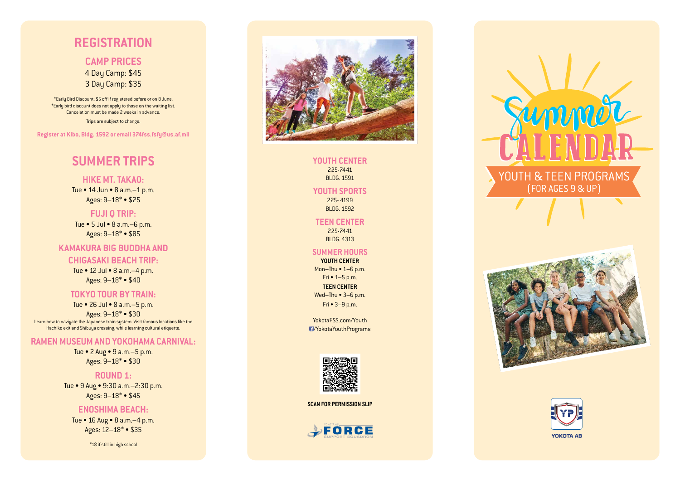## **YOUTH CENTER**

225-7441 BLDG. 1591

**YOUTH SPORTS** 225- 4199 BLDG. 1592

**TEEN CENTER** 225-7441 BLDG. 4313

#### **SUMMER HOURS**

**YOUTH CENTER** Mon–Thu • 1–6 p.m. Fri • 1–5 p.m. **TEEN CENTER** Wed–Thu • 3–6 p.m.

Fri • 3–9 p.m.

YokotaFSS.com/Youth

/YokotaYouthPrograms



# **REGISTRATION**

**CAMP PRICES** 4 Day Camp: \$45 3 Day Camp: \$35

\*Early Bird Discount: \$5 off if registered before or on 8 June. \*Early bird discount does not apply to those on the waiting list. Cancelation must be made 2 weeks in advance. Trips are subject to change.

**Register at Kibo, Bldg. 1592 or email 374fss.fsfy@us.af.mil**

# **SUMMER TRIPS**

**HIKE MT. TAKAO:** Tue • 14 Jun • 8 a.m.–1 p.m.

Ages: 9–18\* • \$25

**FUJI Q TRIP:** Tue • 5 Jul • 8 a.m.–6 p.m. Ages: 9–18\* • \$85

## **KAMAKURA BIG BUDDHA AND**

#### **CHIGASAKI BEACH TRIP:**

Tue • 12 Jul • 8 a.m.–4 p.m. Ages: 9–18\* • \$40

### **TOKYO TOUR BY TRAIN:**

Tue • 26 Jul • 8 a.m.–5 p.m.

Ages: 9–18\* • \$30 Learn how to navigate the Japanese train system. Visit famous locations like the Hachiko exit and Shibuya crossing, while learning cultural etiquette.

## **RAMEN MUSEUM AND YOKOHAMA CARNIVAL:**

Tue • 2 Aug • 9 a.m.–5 p.m. Ages: 9–18\* • \$30

#### **ROUND 1:**

Tue • 9 Aug • 9:30 a.m.–2:30 p.m. Ages: 9–18\* • \$45

#### **ENOSHIMA BEACH:**

Tue • 16 Aug • 8 a.m.–4 p.m. Ages: 12–18\* • \$35

\*18 if still in high school



**SCAN FOR PERMISSION SLIP**







# Jummor YOUTH & TEEN PROGRAMS [FOR AGES 9 & UP]